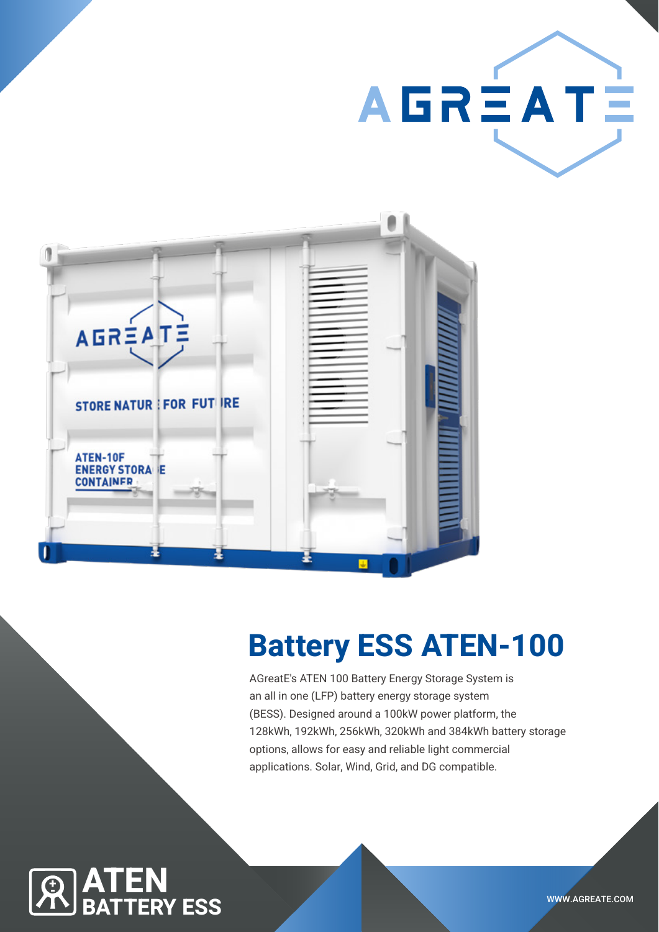



# Battery ESS ATEN-100

AGreatE's ATEN 100 Battery Energy Storage System is an all in one (LFP) battery energy storage system (BESS). Designed around a 100kW power platform, the 128kWh, 192kWh, 256kWh, 320kWh and 384kWh battery storage options, allows for easy and reliable light commercial applications. Solar, Wind, Grid, and DG compatible.

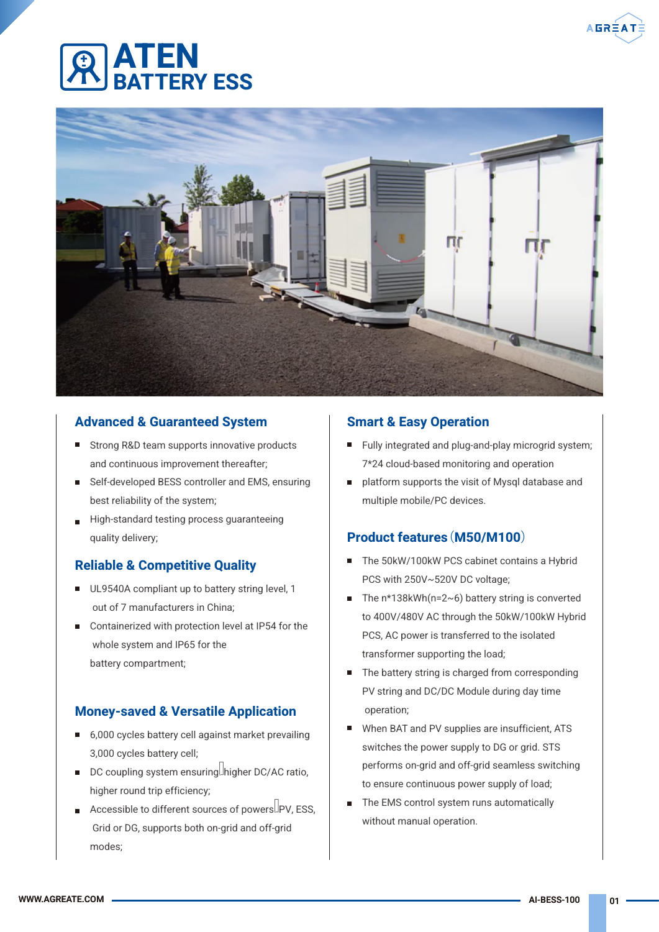# ATEN **ERY FSS**



### Advanced & Guaranteed System

- Strong R&D team supports innovative products and continuous improvement thereafter;
- Self-developed BESS controller and EMS, ensuring best reliability of the system;
- High-standard testing process quaranteeing quality delivery;

### Reliable & Competitive Quality

- UL9540A compliant up to battery string level, 1 out of 7 manufacturers in China;
- Containerized with protection level at IP54 for the whole system and IP65 for the battery compartment;

### Money-saved & Versatile Application

- 6,000 cycles battery cell against market prevailing 3,000 cycles battery cell;
- $\blacksquare$  DC coupling system ensuring. higher DC/AC ratio, higher round trip efficiency;
- Accessible to different sources of powers  $\Box$ PV, ESS. Grid or DG, supports both on-grid and off-grid modes;

### Smart & Easy Operation

- Fully integrated and plug-and-play microgrid system; 7\*24 cloud-based monitoring and operation
- platform supports the visit of Mysql database and multiple mobile/PC devices.

### Product features(M50/M100)

- $\blacksquare$ The 50kW/100kW PCS cabinet contains a Hybrid PCS with 250V~520V DC voltage;
- The  $n*138kWh(n=2~6)$  battery string is converted to 400V/480V AC through the 50kW/100kW Hybrid PCS, AC power is transferred to the isolated transformer supporting the load;
- The battery string is charged from corresponding П PV string and DC/DC Module during day time operation;
- $\blacksquare$ When BAT and PV supplies are insufficient, ATS switches the power supply to DG or grid. STS performs on-grid and off-grid seamless switching to ensure continuous power supply of load;
- $\blacksquare$ The EMS control system runs automatically without manual operation.

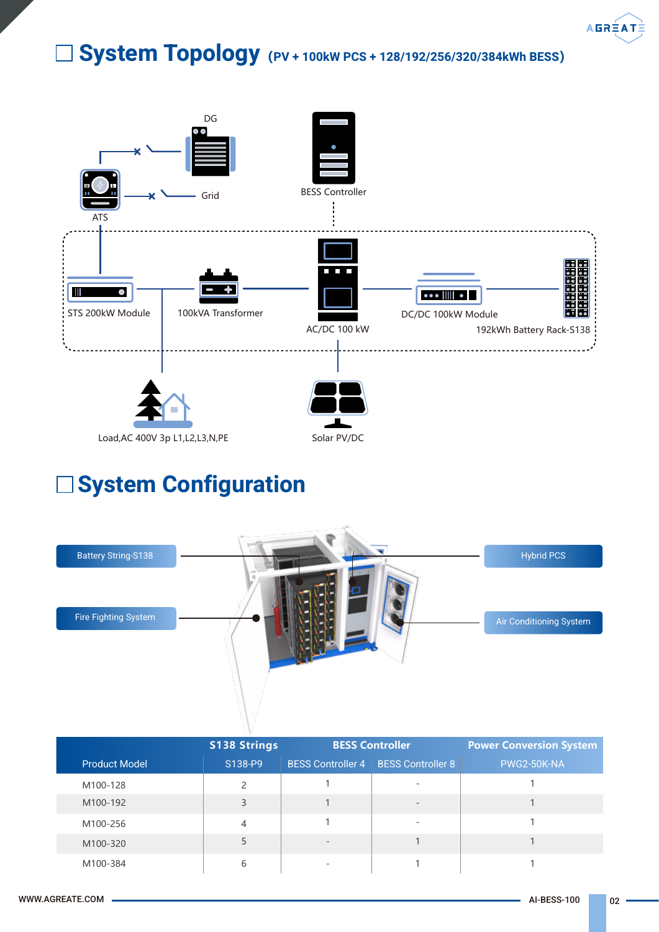

# System Topology**(**PV + 100kW PCS + 128/192/256/320/384kWh BESS**)**



# System Configuration



|                      | <b>S138 Strings</b> | <b>BESS Controller</b>   |                          | <b>Power Conversion System</b> |  |
|----------------------|---------------------|--------------------------|--------------------------|--------------------------------|--|
| <b>Product Model</b> | S138-P9             | <b>BESS Controller 4</b> | <b>BESS Controller 8</b> | PWG2-50K-NA                    |  |
| M100-128             |                     |                          |                          |                                |  |
| M100-192             | 3                   |                          | $\overline{\phantom{a}}$ |                                |  |
| M100-256             | 4                   |                          | $\overline{\phantom{a}}$ |                                |  |
| M100-320             |                     | $\overline{\phantom{0}}$ |                          |                                |  |
| M100-384             | 6                   | $\overline{\phantom{a}}$ |                          |                                |  |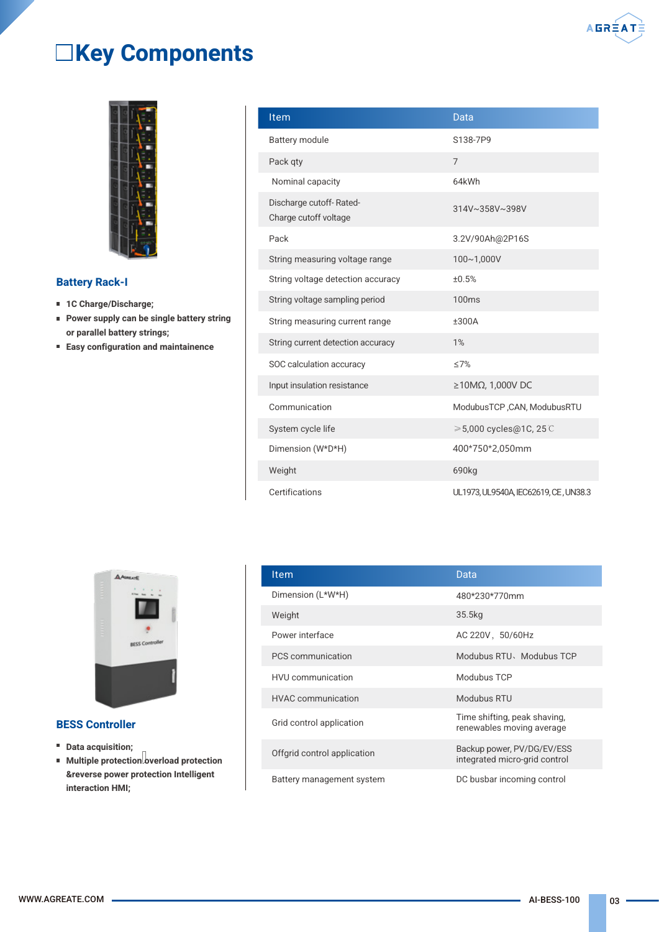

# Key Components



#### Battery Rack-I

- 1C Charge/Discharge;
- **Power supply can be single battery string** or parallel battery strings;
- Easy configuration and maintainence

| <b>Item</b>                                      | <b>Data</b>                           |
|--------------------------------------------------|---------------------------------------|
| Battery module                                   | S138-7P9                              |
| Pack qty                                         | 7                                     |
| Nominal capacity                                 | 64kWh                                 |
| Discharge cutoff-Rated-<br>Charge cutoff voltage | 314V~358V~398V                        |
| Pack                                             | 3.2V/90Ah@2P16S                       |
| String measuring voltage range                   | 100~1,000V                            |
| String voltage detection accuracy                | ±0.5%                                 |
| String voltage sampling period                   | 100 <sub>ms</sub>                     |
| String measuring current range                   | ±300A                                 |
| String current detection accuracy                | 1%                                    |
| SOC calculation accuracy                         | $\leq$ 7%                             |
| Input insulation resistance                      | $\geq$ 10ΜΩ, 1,000V DC                |
| Communication                                    | ModubusTCP, CAN, ModubusRTU           |
| System cycle life                                | $\geqslant$ 5,000 cycles@1C, 25 C     |
| Dimension (W*D*H)                                | 400*750*2,050mm                       |
| Weight                                           | 690kg                                 |
| Certifications                                   | UL1973, UL9540A, IEC62619, CE, UN38.3 |



#### BESS Controller

- **Data acquisition;**
- $\blacksquare$  Multiple protection overload protection &reverse power protection Intelligent interaction HMI;

| Item                        | Data                                                        |
|-----------------------------|-------------------------------------------------------------|
| Dimension (L*W*H)           | 480*230*770mm                                               |
| Weight                      | 35.5kg                                                      |
| Power interface             | AC 220V, 50/60Hz                                            |
| PCS communication           | Modubus RTU, Modubus TCP                                    |
| <b>HVU</b> communication    | Modubus TCP                                                 |
| <b>HVAC</b> communication   | Modubus RTU                                                 |
| Grid control application    | Time shifting, peak shaving,<br>renewables moving average   |
| Offgrid control application | Backup power, PV/DG/EV/ESS<br>integrated micro-grid control |
| Battery management system   | DC busbar incoming control                                  |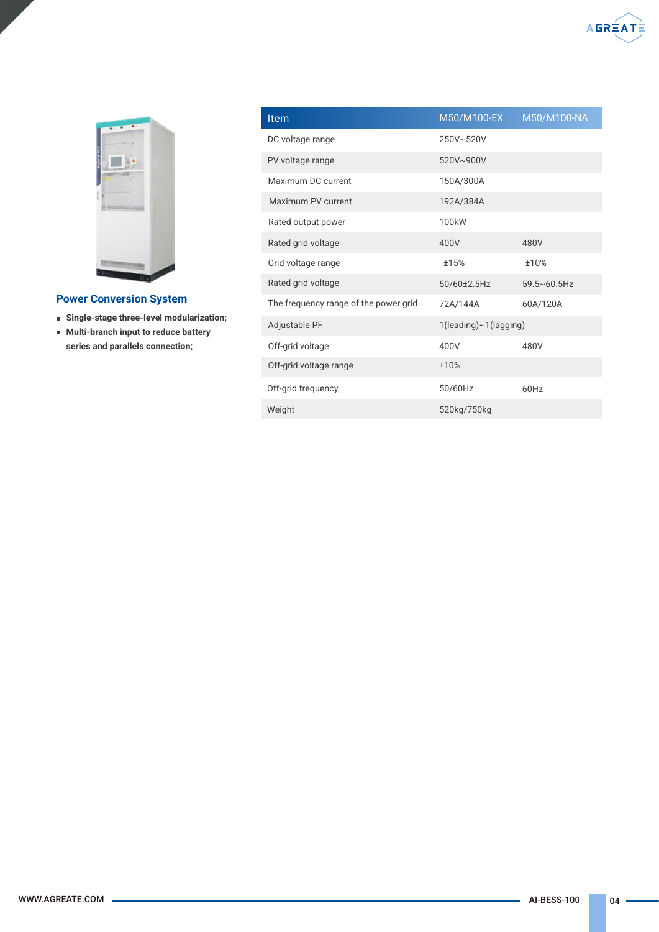

#### Power Conversion System

- Single-stage three-level modularization;
- **Multi-branch input to reduce battery** series and parallels connection;

| Item                                  | M50/M100-EX           | M50/M100-NA           |  |  |
|---------------------------------------|-----------------------|-----------------------|--|--|
| DC voltage range                      | 250V~520V             |                       |  |  |
| PV voltage range                      | 520V~900V             |                       |  |  |
| Maximum DC current                    | 150A/300A             |                       |  |  |
| Maximum PV current                    | 192A/384A             |                       |  |  |
| Rated output power                    | 100kW                 |                       |  |  |
| Rated grid voltage                    | 400V                  | 480V                  |  |  |
| Grid voltage range                    | ±15%                  | ±10%                  |  |  |
| Rated grid voltage                    | 50/60±2.5Hz           | $59.5 \times 60.5$ Hz |  |  |
| The frequency range of the power grid | 72A/144A              | 60A/120A              |  |  |
| Adjustable PF                         | 1(leading)~1(lagging) |                       |  |  |
| Off-grid voltage                      | 400V                  | 480V                  |  |  |
| Off-grid voltage range                | ±10%                  |                       |  |  |
| Off-grid frequency                    | 50/60Hz               | 60Hz                  |  |  |
| Weight                                | 520kg/750kg           |                       |  |  |

 $A B R  $\times$  A T $\times$$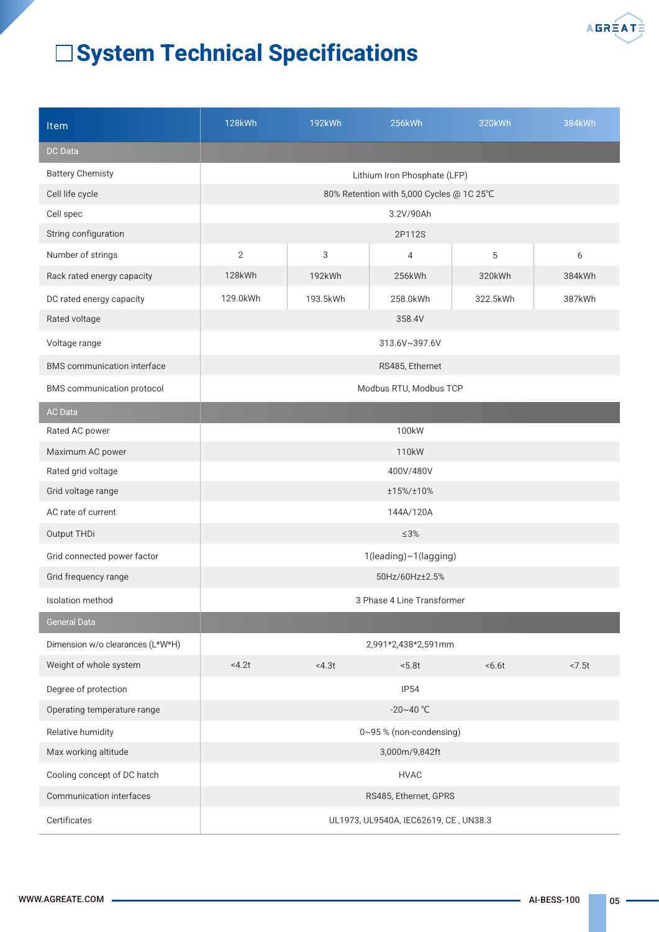

# System Technical Specifications

| <b>Item</b>                        | <b>128kWh</b>                            | 192kWh          | 256kWh                       | 320kWh   | 384kWh |  |
|------------------------------------|------------------------------------------|-----------------|------------------------------|----------|--------|--|
| DC Data                            |                                          |                 |                              |          |        |  |
| <b>Battery Chemisty</b>            |                                          |                 | Lithium Iron Phosphate (LFP) |          |        |  |
| Cell life cycle                    | 80% Retention with 5,000 Cycles @ 1C 25℃ |                 |                              |          |        |  |
| Cell spec                          |                                          |                 | 3.2V/90Ah                    |          |        |  |
| String configuration               |                                          |                 | 2P112S                       |          |        |  |
| Number of strings                  | $\overline{2}$                           | 3               | 4                            | 5        | 6      |  |
| Rack rated energy capacity         | 128kWh                                   | 192kWh          | 256kWh                       | 320kWh   | 384kWh |  |
| DC rated energy capacity           | 129.0kWh                                 | 193.5kWh        | 258.0kWh                     | 322.5kWh | 387kWh |  |
| Rated voltage                      | 358.4V                                   |                 |                              |          |        |  |
| Voltage range                      |                                          |                 | 313.6V~397.6V                |          |        |  |
| <b>BMS</b> communication interface |                                          | RS485, Ethernet |                              |          |        |  |
| <b>BMS</b> communication protocol  |                                          |                 | Modbus RTU, Modbus TCP       |          |        |  |
| <b>AC Data</b>                     |                                          |                 |                              |          |        |  |
| Rated AC power                     |                                          |                 | 100kW                        |          |        |  |
| Maximum AC power                   |                                          |                 | 110kW                        |          |        |  |
| Rated grid voltage                 | 400V/480V                                |                 |                              |          |        |  |
| Grid voltage range                 | ±15%/±10%                                |                 |                              |          |        |  |
| AC rate of current                 | 144A/120A                                |                 |                              |          |        |  |
| Output THDi                        | $\leq 3\%$                               |                 |                              |          |        |  |
| Grid connected power factor        | 1(leading)~1(lagging)                    |                 |                              |          |        |  |
| Grid frequency range               | 50Hz/60Hz±2.5%                           |                 |                              |          |        |  |
| Isolation method                   | 3 Phase 4 Line Transformer               |                 |                              |          |        |  |
| <b>General Data</b>                |                                          |                 |                              |          |        |  |
| Dimension w/o clearances (L*W*H)   |                                          |                 | 2,991*2,438*2,591mm          |          |        |  |
| Weight of whole system             | <4.2t                                    | <4.3t           | < 5.8t                       | 56.6t    | < 7.5t |  |
| Degree of protection               | IP54                                     |                 |                              |          |        |  |
| Operating temperature range        | $-20 - 40$ °C                            |                 |                              |          |        |  |
| Relative humidity                  | 0~95% (non-condensing)                   |                 |                              |          |        |  |
| Max working altitude               | 3,000m/9,842ft                           |                 |                              |          |        |  |
| Cooling concept of DC hatch        | <b>HVAC</b>                              |                 |                              |          |        |  |
| Communication interfaces           | RS485, Ethernet, GPRS                    |                 |                              |          |        |  |
| Certificates                       | UL1973, UL9540A, IEC62619, CE, UN38.3    |                 |                              |          |        |  |